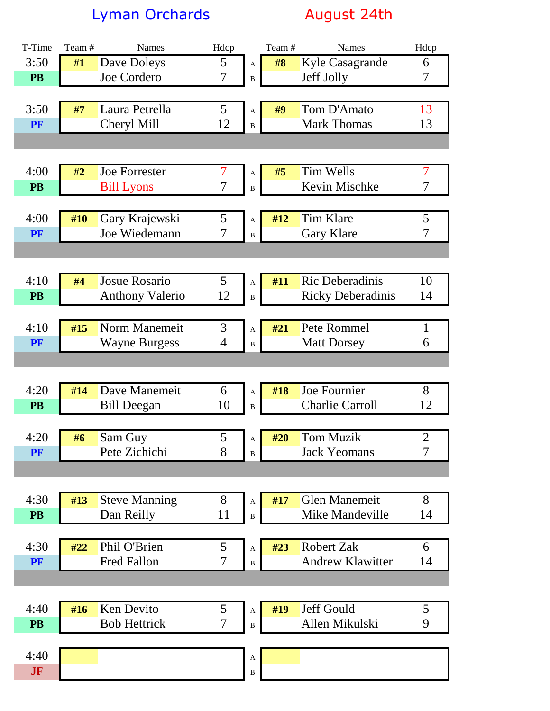Lyman Orchards **August 24th** 

| T-Time    | Team# | <b>Names</b>           | Hdcp           |              | Team# | <b>Names</b>             | Hdcp           |
|-----------|-------|------------------------|----------------|--------------|-------|--------------------------|----------------|
| 3:50      | #1    | Dave Doleys            | 5              | A            | #8    | <b>Kyle Casagrande</b>   | 6              |
| <b>PB</b> |       | Joe Cordero            | $\overline{7}$ | $\, {\bf B}$ |       | Jeff Jolly               | 7              |
|           |       |                        |                |              |       |                          |                |
| 3:50      | #7    | Laura Petrella         | 5              | A            | #9    | Tom D'Amato              | 13             |
| PF        |       | Cheryl Mill            | 12             | $\, {\bf B}$ |       | <b>Mark Thomas</b>       | 13             |
|           |       |                        |                |              |       |                          |                |
|           |       |                        |                |              |       |                          |                |
| 4:00      | #2    | <b>Joe Forrester</b>   | $\overline{7}$ | A            | #5    | <b>Tim Wells</b>         | $\overline{7}$ |
| <b>PB</b> |       | <b>Bill Lyons</b>      | $\overline{7}$ | $\bf{B}$     |       | Kevin Mischke            | $\overline{7}$ |
|           |       |                        |                |              |       |                          |                |
| 4:00      | #10   | Gary Krajewski         | 5              | A            | #12   | <b>Tim Klare</b>         | $\mathfrak{S}$ |
| PF        |       | Joe Wiedemann          | $\overline{7}$ | $\, {\bf B}$ |       | Gary Klare               | $\overline{7}$ |
|           |       |                        |                |              |       |                          |                |
|           |       |                        |                |              |       |                          |                |
| 4:10      | #4    | Josue Rosario          | 5              | A            | #11   | <b>Ric Deberadinis</b>   | 10             |
| <b>PB</b> |       | <b>Anthony Valerio</b> | 12             | B            |       | <b>Ricky Deberadinis</b> | 14             |
|           |       |                        |                |              |       |                          |                |
| 4:10      | #15   | Norm Manemeit          | 3              | A            | #21   | Pete Rommel              | $\mathbf{1}$   |
| PF        |       | <b>Wayne Burgess</b>   | $\overline{4}$ | $\bf{B}$     |       | <b>Matt Dorsey</b>       | 6              |
|           |       |                        |                |              |       |                          |                |
|           |       |                        |                |              |       |                          |                |
| 4:20      | #14   | Dave Manemeit          | 6              | A            | #18   | Joe Fournier             | 8              |
| <b>PB</b> |       | <b>Bill Deegan</b>     | 10             | $\bf{B}$     |       | <b>Charlie Carroll</b>   | 12             |
|           |       |                        |                |              |       |                          |                |
| 4:20      | #6    | Sam Guy                | 5              | A            | #20   | <b>Tom Muzik</b>         | $\overline{2}$ |
| PF        |       | Pete Zichichi          | 8              | B            |       | <b>Jack Yeomans</b>      | 7              |
|           |       |                        |                |              |       |                          |                |
|           |       |                        |                |              |       |                          |                |
| 4:30      | #13   | <b>Steve Manning</b>   | 8              | A            | #17   | <b>Glen Manemeit</b>     | 8              |
| <b>PB</b> |       | Dan Reilly             | 11             | $\, {\bf B}$ |       | <b>Mike Mandeville</b>   | 14             |
|           |       |                        |                |              |       |                          |                |
| 4:30      | #22   | Phil O'Brien           | 5              | A            | #23   | <b>Robert Zak</b>        | 6              |
| PF        |       | <b>Fred Fallon</b>     | 7              | $\bf{B}$     |       | <b>Andrew Klawitter</b>  | 14             |
|           |       |                        |                |              |       |                          |                |
|           |       |                        |                |              |       |                          |                |
| 4:40      | #16   | Ken Devito             | 5              | A            | #19   | Jeff Gould               | 5              |
| <b>PB</b> |       | <b>Bob Hettrick</b>    | 7              | B            |       | Allen Mikulski           | 9              |
|           |       |                        |                |              |       |                          |                |
| 4:40      |       |                        |                | A            |       |                          |                |
| JF        |       |                        |                | $\, {\bf B}$ |       |                          |                |
|           |       |                        |                |              |       |                          |                |